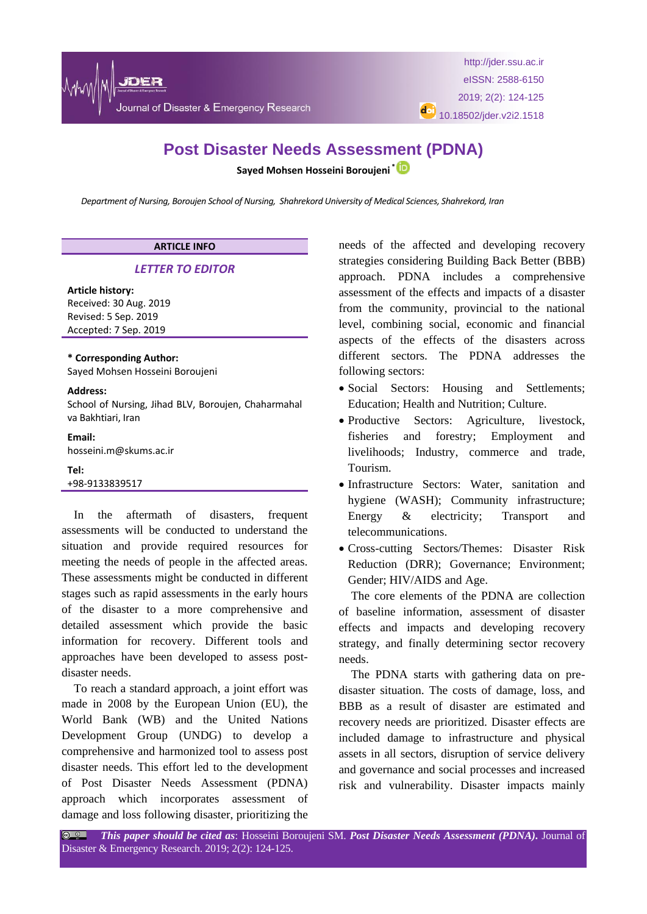

# **Post Disaster Needs Assessment (PDNA)**

**Sayed Mohsen Hosseini Boroujeni \***

*Department of Nursing, Boroujen School of Nursing, Shahrekord University of Medical Sciences, Shahrekord, Iran*

# **ARTICLE INFO**

## *LETTER TO EDITOR*

## **Article history:**

Received: 30 Aug. 2019 Revised: 5 Sep. 2019 Accepted: 7 Sep. 2019

## **\* Corresponding Author:**

Sayed Mohsen Hosseini Boroujeni

#### **Address:**

School of Nursing, Jihad BLV, Boroujen, Chaharmahal va Bakhtiari, Iran

#### **Email:**

hosseini.m@skums.ac.ir

## **Tel:**

+98-9133839517

In the aftermath of disasters, frequent assessments will be conducted to understand the situation and provide required resources for meeting the needs of people in the affected areas. These assessments might be conducted in different stages such as rapid assessments in the early hours of the disaster to a more comprehensive and detailed assessment which provide the basic information for recovery. Different tools and approaches have been developed to assess postdisaster needs.

To reach a standard approach, a joint effort was made in 2008 by the European Union (EU), the World Bank (WB) and the United Nations Development Group (UNDG) to develop a comprehensive and harmonized tool to assess post disaster needs. This effort led to the development of Post Disaster Needs Assessment (PDNA) approach which incorporates assessment of damage and loss following disaster, prioritizing the needs of the affected and developing recovery strategies considering Building Back Better (BBB) approach. PDNA includes a comprehensive assessment of the effects and impacts of a disaster from the community, provincial to the national level, combining social, economic and financial aspects of the effects of the disasters across different sectors. The PDNA addresses the following sectors:

- Social Sectors: Housing and Settlements; Education; Health and Nutrition; Culture.
- Productive Sectors: Agriculture, livestock, fisheries and forestry; Employment and livelihoods; Industry, commerce and trade, Tourism.
- Infrastructure Sectors: Water, sanitation and hygiene (WASH); Community infrastructure; Energy & electricity; Transport and telecommunications.
- Cross-cutting Sectors/Themes: Disaster Risk Reduction (DRR); Governance; Environment; Gender; HIV/AIDS and Age.

The core elements of the PDNA are collection of baseline information, assessment of disaster effects and impacts and developing recovery strategy, and finally determining sector recovery needs.

The PDNA starts with gathering data on predisaster situation. The costs of damage, loss, and BBB as a result of disaster are estimated and recovery needs are prioritized. Disaster effects are included damage to infrastructure and physical assets in all sectors, disruption of service delivery and governance and social processes and increased risk and vulnerability. Disaster impacts mainly